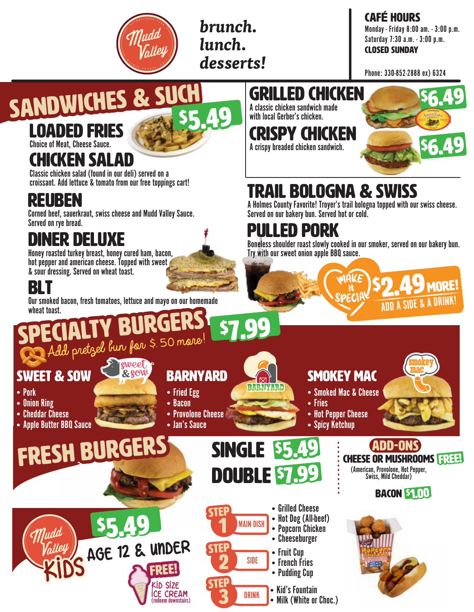*brunch. lunch. desserts!* CAFé HOURS Monday - Friday 8:00 am. - 3:00 p.m. Saturday 7:30 a.m. - 3:00 p.m. CLOSED SUNDAY

Phone: 330-852-2888 ex) 6324

#### SANDWICHES & SUCH \$5.49 SANDWICHES & SUCH

### LOADED FRIES

Choice of Meat, Cheese Sauce.

### CHICKEN SALAD

Classic chicken salad (found in our deli) served on a croissant. Add lettuce & tomato from our free toppings cart!

#### REUBEN

Corned beef, sauerkraut, swiss cheese and Mudd Valley Sauce. Served on rye bread.

## DINER DELUXE

Honey roasted turkey breast, honey cured ham, bacon, hot pepper and american cheese. Topped with sweet & sour dressing. Served on wheat toast.

## BLT

▯ Pork • Onion Ring • Cheddar Cheese

• Apple Butter BBQ Sauce

**SWEET & SOW** 

Our smoked bacon, fresh tomatoes, lettuce and mayo on our homemade wheat toast.

Add pretzel bun far \$ 50 mare!

**eweet** 

& SOW

\$5.49

# GRILLED CHICKEN

A classic chicken sandwich made with local Gerber's chicken.

CRISPY CHICKEN A crispy breaded chicken sandwich.



MORE!

ADD A SIDE & A DRINK!

 $\frac{d\mathcal{E}}{dt}$ \$2.49

# TRAIL BOLOGNA & SWISS

A Holmes County Favorite! Troyer's trail bologna topped with our swiss cheese. Served on our bakery bun. Served hot or cold.

## PULLED PORK

Boneless shoulder roast slowly cooked in our smoker, served on our bakery bun. Try with our sweet onion apple BBQ sauce.

#### **BARNYARD**

- Fried Egg
- ▯ Bacon
- $\bullet$  Provolone Cheese  $\hat{\bullet}$
- FRESH BURGERS • Jan's Sauce

#### **SMOKEY MAC**

- Smoked Mac & Cheese
- Fries

DOUBLE \$7.99

MAIN DISH

SIDE

DRINK

step

**STEP** 

step

KID SIZE ICE CREAM (redeem downstairs)

FREE!

1

2

3

■ Popcorn Chicken • Cheeseburger

• Fruit Cun • French Fries • Pudding Cup

• Kid's Fountain • Milk (White or Choc.)

▯ Grilled Cheese • Hot Dog (All-beef)

 $\overline{\mathbf{c}}$ 

 $\boxtimes$ BARNYARD

- Hot Pepper Cheese
- Spicy Ketchup



BACON \$1.00